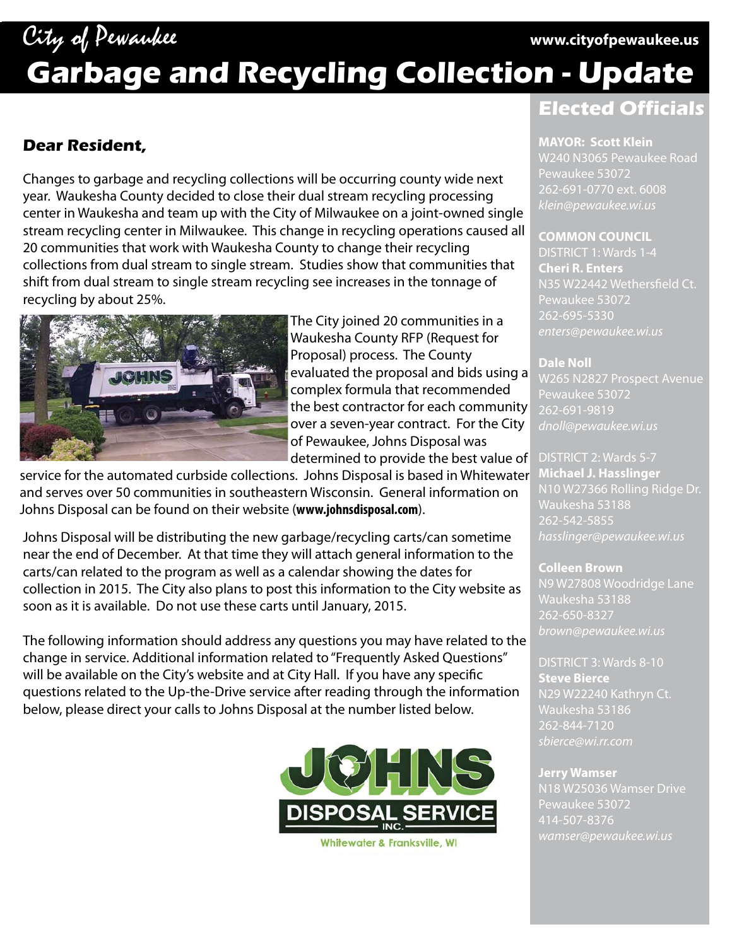## City of Pewaukee **www.cityofpewaukee.us**

# **Garbage and Recycling Collection - Update**

#### **Dear Resident,**

Changes to garbage and recycling collections will be occurring county wide next year. Waukesha County decided to close their dual stream recycling processing center in Waukesha and team up with the City of Milwaukee on a joint-owned single stream recycling center in Milwaukee. This change in recycling operations caused all 20 communities that work with Waukesha County to change their recycling collections from dual stream to single stream. Studies show that communities that shift from dual stream to single stream recycling see increases in the tonnage of recycling by about 25%.



The City joined 20 communities in a Waukesha County RFP (Request for Proposal) process. The County evaluated the proposal and bids using a complex formula that recommended the best contractor for each community over a seven-year contract. For the City of Pewaukee, Johns Disposal was determined to provide the best value of

service for the automated curbside collections. Johns Disposal is based in Whitewater and serves over 50 communities in southeastern Wisconsin. General information on Johns Disposal can be found on their website (**www.johnsdisposal.com**).

Johns Disposal will be distributing the new garbage/recycling carts/can sometime near the end of December. At that time they will attach general information to the carts/can related to the program as well as a calendar showing the dates for collection in 2015. The City also plans to post this information to the City website as soon as it is available. Do not use these carts until January, 2015.

The following information should address any questions you may have related to the change in service. Additional information related to "Frequently Asked Questions" will be available on the City's website and at City Hall. If you have any specific questions related to the Up-the-Drive service after reading through the information below, please direct your calls to Johns Disposal at the number listed below.



### **Elected Officials**

#### **MAYOR: Scott Klein**

**MAYOR: Scott Klein** W240 N3065 Pewaukee Road Pewaukee 53072 262-691-0770 ext. 6008 *klein@pewaukee.wi.us*

#### **COMMON COUNCIL**

DISTRICT 1: Wards 1-4 **Cheri R. Enters** Pewaukee 53072 *enters@pewaukee.wi.us*

– <u>messen</u><br>W265 N2827 Prospect Avenue Pewaukee 53072 262-691-9819 *dnoll@pewaukee.wi.us*

DISTRICT 2: Wards 5-7 **Michael J. Hasslinger** N10 W27366 Rolling Ridge Dr. 262-542-5855 *hasslinger@pewaukee.wi.us*

**Colleen Brown** N9 W27808 Woodridge Lane Waukesha 53188 262-650-8327 *brown@pewaukee.wi.us*

DISTRICT 3: Wards 8-10 **Steve Bierce** N29 W22240 Kathryn Ct. Waukesha 53186 262-844-7120 *sbierce@wi.rr.com*

Pewaukee 53072 *wamser@pewaukee.wi.us*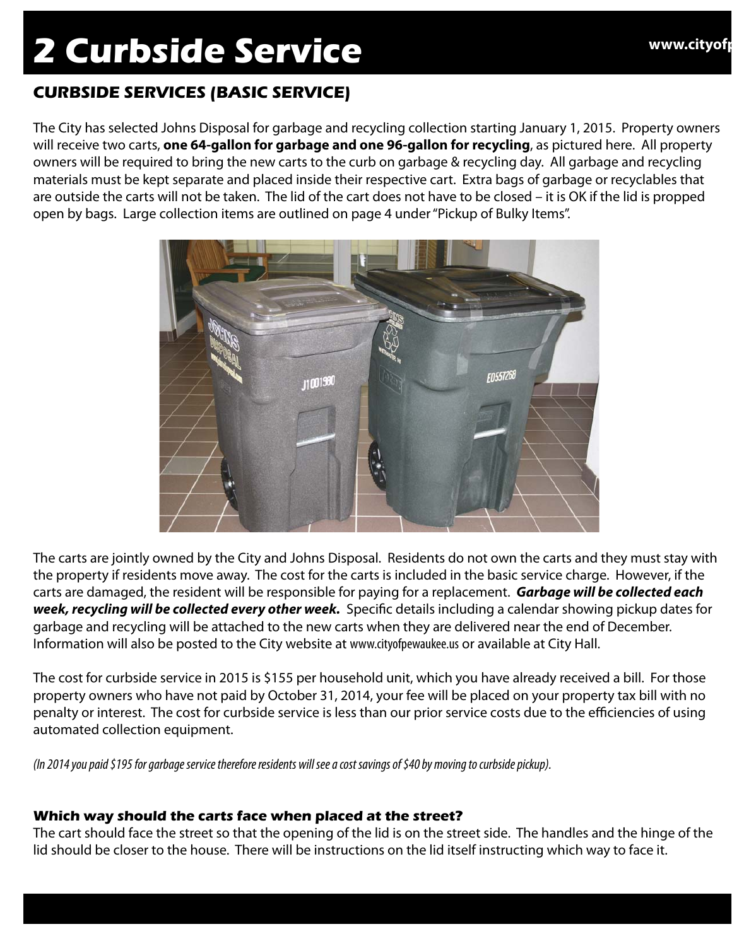## **2 Curbside Service www.cityofp**

#### **CURBSIDE SERVICES (BASIC SERVICE)**

The City has selected Johns Disposal for garbage and recycling collection starting January 1, 2015. Property owners will receive two carts, **one 64-gallon for garbage and one 96-gallon for recycling**, as pictured here. All property owners will be required to bring the new carts to the curb on garbage & recycling day. All garbage and recycling materials must be kept separate and placed inside their respective cart. Extra bags of garbage or recyclables that are outside the carts will not be taken. The lid of the cart does not have to be closed – it is OK if the lid is propped open by bags. Large collection items are outlined on page 4 under "Pickup of Bulky Items".



The carts are jointly owned by the City and Johns Disposal. Residents do not own the carts and they must stay with the property if residents move away. The cost for the carts is included in the basic service charge. However, if the carts are damaged, the resident will be responsible for paying for a replacement. *Garbage will be collected each week, recycling will be collected every other week.* Specific details including a calendar showing pickup dates for garbage and recycling will be attached to the new carts when they are delivered near the end of December. Information will also be posted to the City website at www.cityofpewaukee.us or available at City Hall.

The cost for curbside service in 2015 is \$155 per household unit, which you have already received a bill. For those property owners who have not paid by October 31, 2014, your fee will be placed on your property tax bill with no penalty or interest. The cost for curbside service is less than our prior service costs due to the efficiencies of using automated collection equipment.

*(In 2014 you paid \$195 for garbage service therefore residents will see a cost savings of \$40 by moving to curbside pickup).*

#### **Which way should the carts face when placed at the street?**

The cart should face the street so that the opening of the lid is on the street side. The handles and the hinge of the lid should be closer to the house. There will be instructions on the lid itself instructing which way to face it.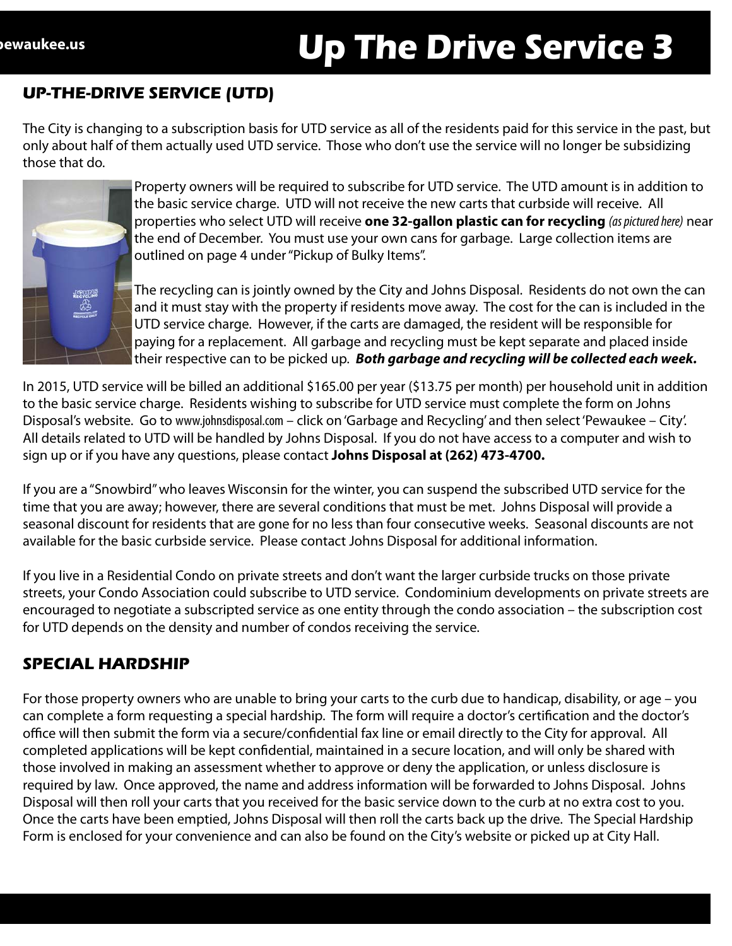# Pewaukee.us **Up The Drive Service 3** Up The Drive Service 3

The City is changing to a subscription basis for UTD service as all of the residents paid for this service in the past, but only about half of them actually used UTD service. Those who don't use the service will no longer be subsidizing those that do.



Property owners will be required to subscribe for UTD service. The UTD amount is in addition to the basic service charge. UTD will not receive the new carts that curbside will receive. All properties who select UTD will receive **one 32-gallon plastic can for recycling** *(as pictured here)* near the end of December. You must use your own cans for garbage. Large collection items are outlined on page 4 under "Pickup of Bulky Items".

The recycling can is jointly owned by the City and Johns Disposal. Residents do not own the can and it must stay with the property if residents move away. The cost for the can is included in the UTD service charge. However, if the carts are damaged, the resident will be responsible for paying for a replacement. All garbage and recycling must be kept separate and placed inside their respective can to be picked up. *Both garbage and recycling will be collected each week.* 

In 2015, UTD service will be billed an additional \$165.00 per year (\$13.75 per month) per household unit in addition to the basic service charge. Residents wishing to subscribe for UTD service must complete the form on Johns Disposal's website. Go to www.johnsdisposal.com – click on 'Garbage and Recycling' and then select 'Pewaukee – City'. All details related to UTD will be handled by Johns Disposal. If you do not have access to a computer and wish to sign up or if you have any questions, please contact **Johns Disposal at (262) 473-4700.**

If you are a "Snowbird" who leaves Wisconsin for the winter, you can suspend the subscribed UTD service for the time that you are away; however, there are several conditions that must be met. Johns Disposal will provide a seasonal discount for residents that are gone for no less than four consecutive weeks. Seasonal discounts are not available for the basic curbside service. Please contact Johns Disposal for additional information.

If you live in a Residential Condo on private streets and don't want the larger curbside trucks on those private streets, your Condo Association could subscribe to UTD service. Condominium developments on private streets are encouraged to negotiate a subscripted service as one entity through the condo association – the subscription cost for UTD depends on the density and number of condos receiving the service.

#### **SPECIAL HARDSHIP**

For those property owners who are unable to bring your carts to the curb due to handicap, disability, or age – you can complete a form requesting a special hardship. The form will require a doctor's certification and the doctor's office will then submit the form via a secure/confidential fax line or email directly to the City for approval. All completed applications will be kept confidential, maintained in a secure location, and will only be shared with those involved in making an assessment whether to approve or deny the application, or unless disclosure is required by law. Once approved, the name and address information will be forwarded to Johns Disposal. Johns Disposal will then roll your carts that you received for the basic service down to the curb at no extra cost to you. Once the carts have been emptied, Johns Disposal will then roll the carts back up the drive. The Special Hardship Form is enclosed for your convenience and can also be found on the City's website or picked up at City Hall.